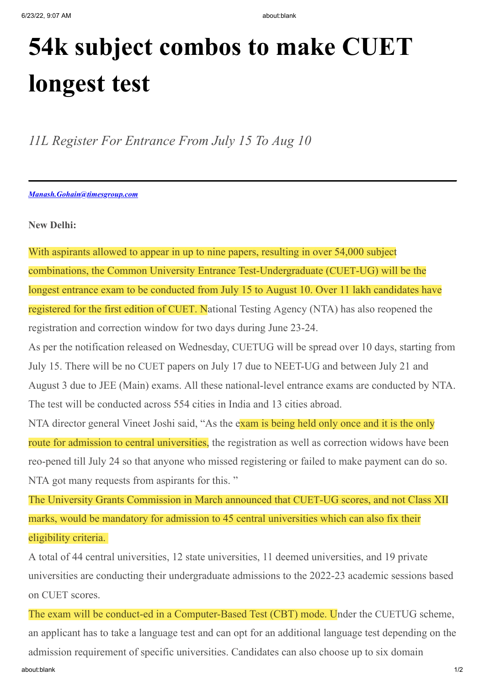## **54k subject combos to make CUET longest test**

*11L Register For Entrance From July 15 To Aug 10*

*Manash.Gohain@timesgroup.com*

**New Delhi:**

With aspirants allowed to appear in up to nine papers, resulting in over 54,000 subject combinations, the Common University Entrance Test-Undergraduate (CUET-UG) will be the longest entrance exam to be conducted from July 15 to August 10. Over 11 lakh candidates have registered for the first edition of CUET. National Testing Agency (NTA) has also reopened the registration and correction window for two days during June 23-24.

As per the notification released on Wednesday, CUETUG will be spread over 10 days, starting from July 15. There will be no CUET papers on July 17 due to NEET-UG and between July 21 and August 3 due to JEE (Main) exams. All these national-level entrance exams are conducted by NTA. The test will be conducted across 554 cities in India and 13 cities abroad.

NTA director general Vineet Joshi said, "As the exam is being held only once and it is the only route for admission to central universities, the registration as well as correction widows have been reo-pened till July 24 so that anyone who missed registering or failed to make payment can do so. NTA got many requests from aspirants for this."

The University Grants Commission in March announced that CUET-UG scores, and not Class XII marks, would be mandatory for admission to 45 central universities which can also fix their eligibility criteria.

A total of 44 central universities, 12 state universities, 11 deemed universities, and 19 private universities are conducting their undergraduate admissions to the 2022-23 academic sessions based on CUET scores.

about:blank 1/2 The exam will be conduct-ed in a Computer-Based Test (CBT) mode. Under the CUETUG scheme, an applicant has to take a language test and can opt for an additional language test depending on the admission requirement of specific universities. Candidates can also choose up to six domain